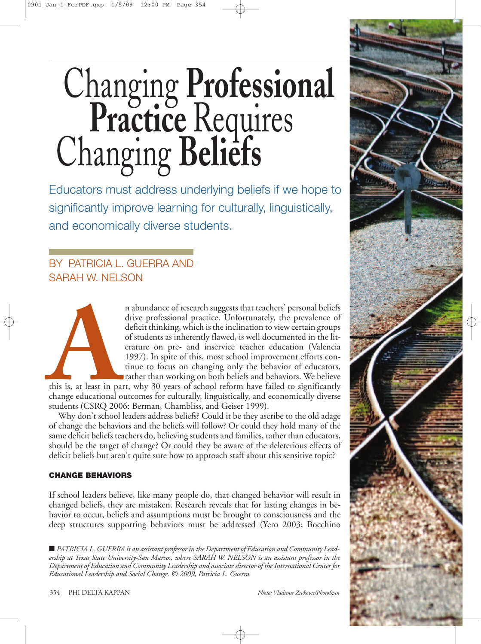# Changing **Professional** Practice Requires Changing **Beliefs**

Educators must address underlying beliefs if we hope to significantly improve learning for culturally, linguistically, and economically diverse students.

# BY PATRICIA L. GUERRA AND SARAH W. NELSON



**An abundance of research suggests that teachers' personal beliefs<br>drive professional practice. Unfortunately, the prevalence of<br>deficit thinking, which is the inclination to view certain groups<br>of students as inherently f** drive professional practice. Unfortunately, the prevalence of deficit thinking, which is the inclination to view certain groups of students as inherently flawed, is well documented in the literature on pre- and inservice teacher education (Valencia 1997). In spite of this, most school improvement efforts continue to focus on changing only the behavior of educators, rather than working on both beliefs and behaviors. We believe

this is, at least in part, why 30 years of school reform have failed to significantly change educational outcomes for culturally, linguistically, and economically diverse students (CSRQ 2006: Berman, Chambliss, and Geiser 1999).

Why don't school leaders address beliefs? Could it be they ascribe to the old adage of change the behaviors and the beliefs will follow? Or could they hold many of the same deficit beliefs teachers do, believing students and families, rather than educators, should be the target of change? Or could they be aware of the deleterious effects of deficit beliefs but aren't quite sure how to approach staff about this sensitive topic?

# **CHANGE BEHAVIORS**

If school leaders believe, like many people do, that changed behavior will result in changed beliefs, they are mistaken. Research reveals that for lasting changes in behavior to occur, beliefs and assumptions must be brought to consciousness and the deep structures supporting behaviors must be addressed (Yero 2003; Bocchino

**■** *PATRICIA L. GUERRA is an assistant professor in the Department of Education and Community Leadership at Texas State University-San Marcos, where SARAH W. NELSON is an assistant professor in the Department of Education and Community Leadership and associate director of the International Center for Educational Leadership and Social Change. © 2009, Patricia L. Guerra.*

354 PHI DELTA KAPPAN *Photo: Vladimir Zivkovic/PhotoSpin*

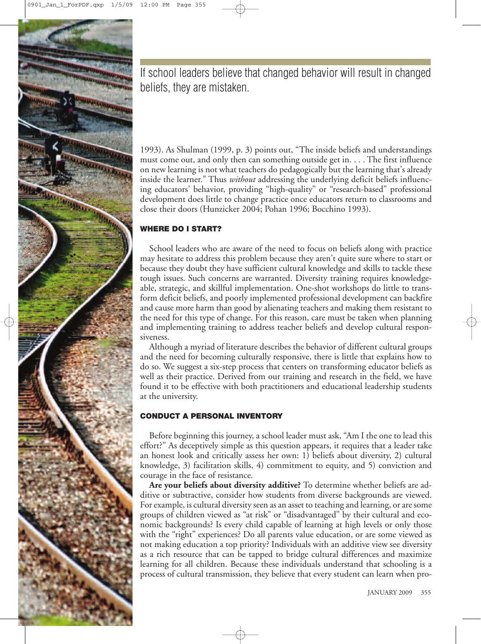

If school leaders believe that changed behavior will result in changed beliefs, they are mistaken.

1993). As Shulman (1999, p. 3) points out, "The inside beliefs and understandings must come out, and only then can something outside get in. . . . The first influence on new learning is not what teachers do pedagogically but the learning that's already inside the learner." Thus *without* addressing the underlying deficit beliefs influencing educators' behavior, providing "high-quality" or "research-based" professional development does little to change practice once educators return to classrooms and close their doors (Hunzicker 2004; Pohan 1996; Bocchino 1993).

# **WHERE DO I START?**

School leaders who are aware of the need to focus on beliefs along with practice may hesitate to address this problem because they aren't quite sure where to start or because they doubt they have sufficient cultural knowledge and skills to tackle these tough issues. Such concerns are warranted. Diversity training requires knowledgeable, strategic, and skillful implementation. One-shot workshops do little to transform deficit beliefs, and poorly implemented professional development can backfire and cause more harm than good by alienating teachers and making them resistant to the need for this type of change. For this reason, care must be taken when planning and implementing training to address teacher beliefs and develop cultural responsiveness.

Although a myriad of literature describes the behavior of different cultural groups and the need for becoming culturally responsive, there is little that explains how to do so. We suggest a six-step process that centers on transforming educator beliefs as well as their practice. Derived from our training and research in the field, we have found it to be effective with both practitioners and educational leadership students at the university.

# **CONDUCT A PERSONAL INVENTORY**

Before beginning this journey, a school leader must ask, "Am I the one to lead this effort?" As deceptively simple as this question appears, it requires that a leader take an honest look and critically assess her own: 1) beliefs about diversity, 2) cultural knowledge, 3) facilitation skills, 4) commitment to equity, and 5) conviction and courage in the face of resistance.

**Are your beliefs about diversity additive?** To determine whether beliefs are additive or subtractive, consider how students from diverse backgrounds are viewed. For example, is cultural diversity seen as an asset to teaching and learning, or are some groups of children viewed as "at risk" or "disadvantaged" by their cultural and economic backgrounds? Is every child capable of learning at high levels or only those with the "right" experiences? Do all parents value education, or are some viewed as not making education a top priority? Individuals with an additive view see diversity as a rich resource that can be tapped to bridge cultural differences and maximize learning for all children. Because these individuals understand that schooling is a process of cultural transmission, they believe that every student can learn when pro-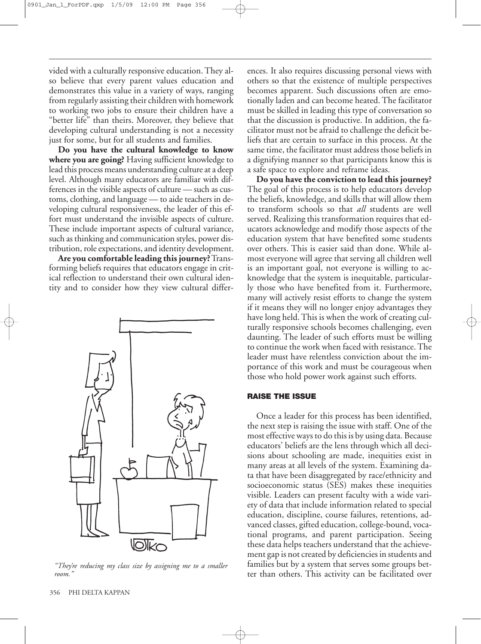vided with a culturally responsive education. They also believe that every parent values education and demonstrates this value in a variety of ways, ranging from regularly assisting their children with homework to working two jobs to ensure their children have a "better life" than theirs. Moreover, they believe that developing cultural understanding is not a necessity just for some, but for all students and families.

**Do you have the cultural knowledge to know where you are going?** Having sufficient knowledge to lead this process means understanding culture at a deep level. Although many educators are familiar with differences in the visible aspects of culture — such as customs, clothing, and language — to aide teachers in developing cultural responsiveness, the leader of this effort must understand the invisible aspects of culture. These include important aspects of cultural variance, such as thinking and communication styles, power distribution, role expectations, and identity development.

**Are you comfortable leading this journey?**Transforming beliefs requires that educators engage in critical reflection to understand their own cultural identity and to consider how they view cultural differ-



*room."*

ences. It also requires discussing personal views with others so that the existence of multiple perspectives becomes apparent. Such discussions often are emotionally laden and can become heated. The facilitator must be skilled in leading this type of conversation so that the discussion is productive. In addition, the facilitator must not be afraid to challenge the deficit beliefs that are certain to surface in this process. At the same time, the facilitator must address those beliefs in a dignifying manner so that participants know this is a safe space to explore and reframe ideas.

**Do you have the conviction to lead this journey?** The goal of this process is to help educators develop the beliefs, knowledge, and skills that will allow them to transform schools so that *all* students are well served. Realizing this transformation requires that educators acknowledge and modify those aspects of the education system that have benefited some students over others. This is easier said than done. While almost everyone will agree that serving all children well is an important goal, not everyone is willing to acknowledge that the system is inequitable, particularly those who have benefited from it. Furthermore, many will actively resist efforts to change the system if it means they will no longer enjoy advantages they have long held. This is when the work of creating culturally responsive schools becomes challenging, even daunting. The leader of such efforts must be willing to continue the work when faced with resistance. The leader must have relentless conviction about the importance of this work and must be courageous when those who hold power work against such efforts.

#### **RAISE THE ISSUE**

Once a leader for this process has been identified, the next step is raising the issue with staff. One of the most effective ways to do this is by using data. Because educators' beliefs are the lens through which all decisions about schooling are made, inequities exist in many areas at all levels of the system. Examining data that have been disaggregated by race/ethnicity and socioeconomic status (SES) makes these inequities visible. Leaders can present faculty with a wide variety of data that include information related to special education, discipline, course failures, retentions, advanced classes, gifted education, college-bound, vocational programs, and parent participation. Seeing these data helps teachers understand that the achievement gap is not created by deficiencies in students and families but by a system that serves some groups bettamilies but by a system that serves some groups bet-"*They're reducing my class size by assigning me to a smaller*<br>This activity can be facilitated over **than others**. This activity can be facilitated over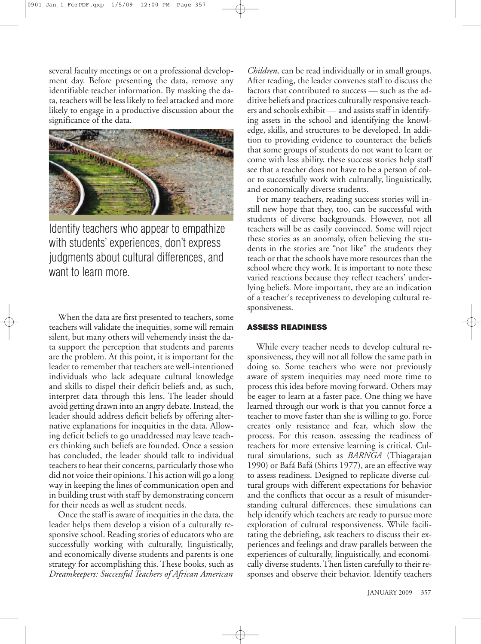several faculty meetings or on a professional development day. Before presenting the data, remove any identifiable teacher information. By masking the data, teachers will be less likely to feel attacked and more likely to engage in a productive discussion about the significance of the data.



Identify teachers who appear to empathize with students' experiences, don't express judgments about cultural differences, and want to learn more.

When the data are first presented to teachers, some teachers will validate the inequities, some will remain silent, but many others will vehemently insist the data support the perception that students and parents are the problem. At this point, it is important for the leader to remember that teachers are well-intentioned individuals who lack adequate cultural knowledge and skills to dispel their deficit beliefs and, as such, interpret data through this lens. The leader should avoid getting drawn into an angry debate. Instead, the leader should address deficit beliefs by offering alternative explanations for inequities in the data. Allowing deficit beliefs to go unaddressed may leave teachers thinking such beliefs are founded. Once a session has concluded, the leader should talk to individual teachers to hear their concerns, particularly those who did not voice their opinions. This action will go a long way in keeping the lines of communication open and in building trust with staff by demonstrating concern for their needs as well as student needs.

Once the staff is aware of inequities in the data, the leader helps them develop a vision of a culturally responsive school. Reading stories of educators who are successfully working with culturally, linguistically, and economically diverse students and parents is one strategy for accomplishing this. These books, such as *Dreamkeepers: Successful Teachers of African American*

*Children,* can be read individually or in small groups. After reading, the leader convenes staff to discuss the factors that contributed to success — such as the additive beliefs and practices culturally responsive teachers and schools exhibit — and assists staff in identifying assets in the school and identifying the knowledge, skills, and structures to be developed. In addition to providing evidence to counteract the beliefs that some groups of students do not want to learn or come with less ability, these success stories help staff see that a teacher does not have to be a person of color to successfully work with culturally, linguistically, and economically diverse students.

For many teachers, reading success stories will instill new hope that they, too, can be successful with students of diverse backgrounds. However, not all teachers will be as easily convinced. Some will reject these stories as an anomaly, often believing the students in the stories are "not like" the students they teach or that the schools have more resources than the school where they work. It is important to note these varied reactions because they reflect teachers' underlying beliefs. More important, they are an indication of a teacher's receptiveness to developing cultural responsiveness.

#### **ASSESS READINESS**

While every teacher needs to develop cultural responsiveness, they will not all follow the same path in doing so. Some teachers who were not previously aware of system inequities may need more time to process this idea before moving forward. Others may be eager to learn at a faster pace. One thing we have learned through our work is that you cannot force a teacher to move faster than she is willing to go. Force creates only resistance and fear, which slow the process. For this reason, assessing the readiness of teachers for more extensive learning is critical. Cultural simulations, such as *BARNGA* (Thiagarajan 1990) or Bafá Bafá (Shirts 1977), are an effective way to assess readiness. Designed to replicate diverse cultural groups with different expectations for behavior and the conflicts that occur as a result of misunderstanding cultural differences, these simulations can help identify which teachers are ready to pursue more exploration of cultural responsiveness. While facilitating the debriefing, ask teachers to discuss their experiences and feelings and draw parallels between the experiences of culturally, linguistically, and economically diverse students. Then listen carefully to their responses and observe their behavior. Identify teachers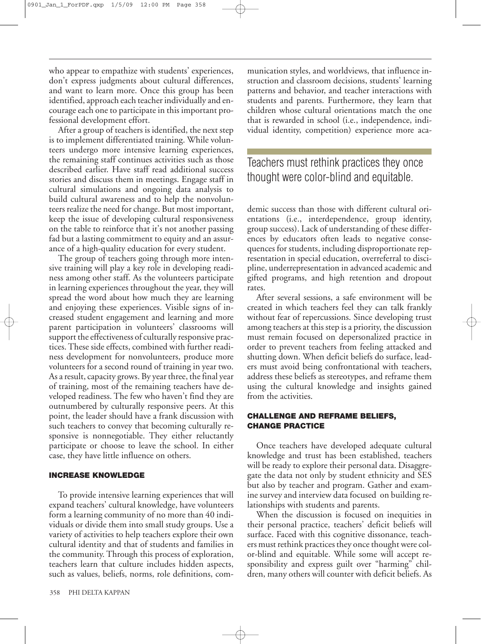who appear to empathize with students' experiences, don't express judgments about cultural differences, and want to learn more. Once this group has been identified, approach each teacher individually and encourage each one to participate in this important professional development effort.

After a group of teachers is identified, the next step is to implement differentiated training. While volunteers undergo more intensive learning experiences, the remaining staff continues activities such as those described earlier. Have staff read additional success stories and discuss them in meetings. Engage staff in cultural simulations and ongoing data analysis to build cultural awareness and to help the nonvolunteers realize the need for change. But most important, keep the issue of developing cultural responsiveness on the table to reinforce that it's not another passing fad but a lasting commitment to equity and an assurance of a high-quality education for every student.

The group of teachers going through more intensive training will play a key role in developing readiness among other staff. As the volunteers participate in learning experiences throughout the year, they will spread the word about how much they are learning and enjoying these experiences. Visible signs of increased student engagement and learning and more parent participation in volunteers' classrooms will support the effectiveness of culturally responsive practices. These side effects, combined with further readiness development for nonvolunteers, produce more volunteers for a second round of training in year two. As a result, capacity grows. By year three, the final year of training, most of the remaining teachers have developed readiness. The few who haven't find they are outnumbered by culturally responsive peers. At this point, the leader should have a frank discussion with such teachers to convey that becoming culturally responsive is nonnegotiable. They either reluctantly participate or choose to leave the school. In either case, they have little influence on others.

#### **INCREASE KNOWLEDGE**

To provide intensive learning experiences that will expand teachers' cultural knowledge, have volunteers form a learning community of no more than 40 individuals or divide them into small study groups. Use a variety of activities to help teachers explore their own cultural identity and that of students and families in the community. Through this process of exploration, teachers learn that culture includes hidden aspects, such as values, beliefs, norms, role definitions, communication styles, and worldviews, that influence instruction and classroom decisions, students' learning patterns and behavior, and teacher interactions with students and parents. Furthermore, they learn that children whose cultural orientations match the one that is rewarded in school (i.e., independence, individual identity, competition) experience more aca-

# Teachers must rethink practices they once thought were color-blind and equitable.

demic success than those with different cultural orientations (i.e., interdependence, group identity, group success). Lack of understanding of these differences by educators often leads to negative consequences for students, including disproportionate representation in special education, overreferral to discipline, underrepresentation in advanced academic and gifted programs, and high retention and dropout rates.

After several sessions, a safe environment will be created in which teachers feel they can talk frankly without fear of repercussions. Since developing trust among teachers at this step is a priority, the discussion must remain focused on depersonalized practice in order to prevent teachers from feeling attacked and shutting down. When deficit beliefs do surface, leaders must avoid being confrontational with teachers, address these beliefs as stereotypes, and reframe them using the cultural knowledge and insights gained from the activities.

#### **CHALLENGE AND REFRAME BELIEFS, CHANGE PRACTICE**

Once teachers have developed adequate cultural knowledge and trust has been established, teachers will be ready to explore their personal data. Disaggregate the data not only by student ethnicity and SES but also by teacher and program. Gather and examine survey and interview data focused on building relationships with students and parents.

When the discussion is focused on inequities in their personal practice, teachers' deficit beliefs will surface. Faced with this cognitive dissonance, teachers must rethink practices they once thought were color-blind and equitable. While some will accept responsibility and express guilt over "harming" children, many others will counter with deficit beliefs. As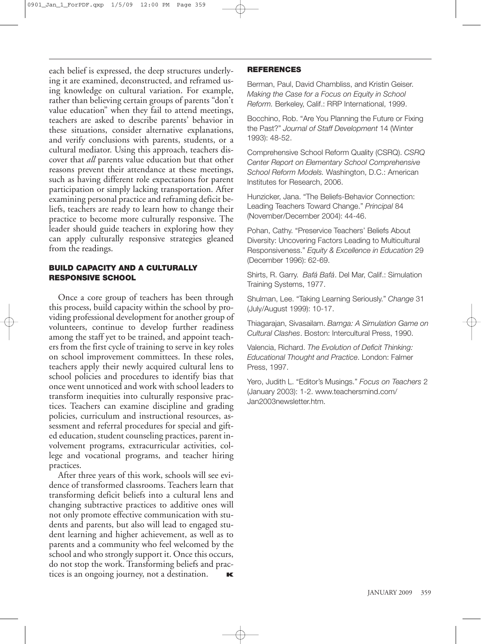each belief is expressed, the deep structures underlying it are examined, deconstructed, and reframed using knowledge on cultural variation. For example, rather than believing certain groups of parents "don't value education" when they fail to attend meetings, teachers are asked to describe parents' behavior in these situations, consider alternative explanations, and verify conclusions with parents, students, or a cultural mediator. Using this approach, teachers discover that *all* parents value education but that other reasons prevent their attendance at these meetings, such as having different role expectations for parent participation or simply lacking transportation. After examining personal practice and reframing deficit beliefs, teachers are ready to learn how to change their practice to become more culturally responsive. The leader should guide teachers in exploring how they can apply culturally responsive strategies gleaned from the readings.

### **BUILD CAPACITY AND A CULTURALLY RESPONSIVE SCHOOL**

Once a core group of teachers has been through this process, build capacity within the school by providing professional development for another group of volunteers, continue to develop further readiness among the staff yet to be trained, and appoint teachers from the first cycle of training to serve in key roles on school improvement committees. In these roles, teachers apply their newly acquired cultural lens to school policies and procedures to identify bias that once went unnoticed and work with school leaders to transform inequities into culturally responsive practices. Teachers can examine discipline and grading policies, curriculum and instructional resources, assessment and referral procedures for special and gifted education, student counseling practices, parent involvement programs, extracurricular activities, college and vocational programs, and teacher hiring practices.

After three years of this work, schools will see evidence of transformed classrooms. Teachers learn that transforming deficit beliefs into a cultural lens and changing subtractive practices to additive ones will not only promote effective communication with students and parents, but also will lead to engaged student learning and higher achievement, as well as to parents and a community who feel welcomed by the school and who strongly support it. Once this occurs, do not stop the work. Transforming beliefs and practices is an ongoing journey, not a destination.  $\mathbf{K}$ 

#### **REFERENCES**

Berman, Paul, David Chambliss, and Kristin Geiser. *Making the Case for a Focus on Equity in School Reform.* Berkeley, Calif.: RRP International, 1999.

Bocchino, Rob. "Are You Planning the Future or Fixing the Past?" *Journal of Staff Development* 14 (Winter 1993): 48-52.

Comprehensive School Reform Quality (CSRQ). *CSRQ Center Report on Elementary School Comprehensive School Reform Models.* Washington, D.C.: American Institutes for Research, 2006.

Hunzicker, Jana. "The Beliefs-Behavior Connection: Leading Teachers Toward Change." *Principal* 84 (November/December 2004): 44-46.

Pohan, Cathy. "Preservice Teachers' Beliefs About Diversity: Uncovering Factors Leading to Multicultural Responsiveness." *Equity & Excellence in Education* 29 (December 1996): 62-69.

Shirts, R. Garry. *Bafá Bafá*. Del Mar, Calif.: Simulation Training Systems, 1977.

Shulman, Lee. "Taking Learning Seriously." *Change* 31 (July/August 1999): 10-17.

Thiagarajan, Sivasailam. *Barnga: A Simulation Game on Cultural Clashes*. Boston: Intercultural Press, 1990.

Valencia, Richard. *The Evolution of Deficit Thinking: Educational Thought and Practice*. London: Falmer Press, 1997.

Yero, Judith L. "Editor's Musings." *Focus on Teachers* 2 (January 2003): 1-2. www.teachersmind.com/ Jan2003newsletter.htm.